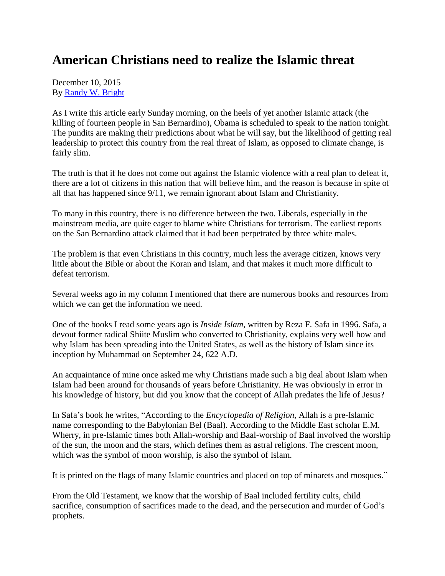## **American Christians need to realize the Islamic threat**

December 10, 2015 By [Randy W. Bright](http://www.tulsabeacon.com/author/slug-o6yd1v)

As I write this article early Sunday morning, on the heels of yet another Islamic attack (the killing of fourteen people in San Bernardino), Obama is scheduled to speak to the nation tonight. The pundits are making their predictions about what he will say, but the likelihood of getting real leadership to protect this country from the real threat of Islam, as opposed to climate change, is fairly slim.

The truth is that if he does not come out against the Islamic violence with a real plan to defeat it, there are a lot of citizens in this nation that will believe him, and the reason is because in spite of all that has happened since 9/11, we remain ignorant about Islam and Christianity.

To many in this country, there is no difference between the two. Liberals, especially in the mainstream media, are quite eager to blame white Christians for terrorism. The earliest reports on the San Bernardino attack claimed that it had been perpetrated by three white males.

The problem is that even Christians in this country, much less the average citizen, knows very little about the Bible or about the Koran and Islam, and that makes it much more difficult to defeat terrorism.

Several weeks ago in my column I mentioned that there are numerous books and resources from which we can get the information we need.

One of the books I read some years ago is *Inside Islam,* written by Reza F. Safa in 1996. Safa, a devout former radical Shiite Muslim who converted to Christianity, explains very well how and why Islam has been spreading into the United States, as well as the history of Islam since its inception by Muhammad on September 24, 622 A.D.

An acquaintance of mine once asked me why Christians made such a big deal about Islam when Islam had been around for thousands of years before Christianity. He was obviously in error in his knowledge of history, but did you know that the concept of Allah predates the life of Jesus?

In Safa's book he writes, "According to the *Encyclopedia of Religion,* Allah is a pre-Islamic name corresponding to the Babylonian Bel (Baal). According to the Middle East scholar E.M. Wherry, in pre-Islamic times both Allah-worship and Baal-worship of Baal involved the worship of the sun, the moon and the stars, which defines them as astral religions. The crescent moon, which was the symbol of moon worship, is also the symbol of Islam.

It is printed on the flags of many Islamic countries and placed on top of minarets and mosques."

From the Old Testament, we know that the worship of Baal included fertility cults, child sacrifice, consumption of sacrifices made to the dead, and the persecution and murder of God's prophets.